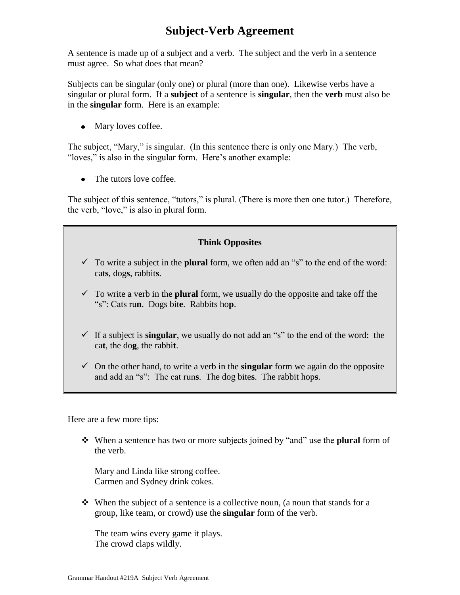## **Subject-Verb Agreement**

A sentence is made up of a subject and a verb. The subject and the verb in a sentence must agree. So what does that mean?

Subjects can be singular (only one) or plural (more than one). Likewise verbs have a singular or plural form. If a **subject** of a sentence is **singular**, then the **verb** must also be in the **singular** form. Here is an example:

• Mary loves coffee.

The subject, "Mary," is singular. (In this sentence there is only one Mary.) The verb, "loves," is also in the singular form. Here's another example:

• The tutors love coffee.

The subject of this sentence, "tutors," is plural. (There is more then one tutor.) Therefore, the verb, "love," is also in plural form.

## **Think Opposites**

- $\checkmark$  To write a subject in the **plural** form, we often add an "s" to the end of the word: cat**s**, dog**s**, rabbit**s**.
- $\checkmark$  To write a verb in the **plural** form, we usually do the opposite and take off the "s": Cats ru**n**. Dogs bit**e**. Rabbits ho**p**.
- If a subject is **singular**, we usually do not add an "s" to the end of the word: the ca**t**, the do**g**, the rabbi**t**.
- $\checkmark$  On the other hand, to write a verb in the **singular** form we again do the opposite and add an "s": The cat run**s**. The dog bite**s**. The rabbit hop**s**.

Here are a few more tips:

 When a sentence has two or more subjects joined by "and" use the **plural** form of the verb.

Mary and Linda like strong coffee. Carmen and Sydney drink cokes.

 $\mathbf{\hat{P}}$  When the subject of a sentence is a collective noun, (a noun that stands for a group, like team, or crowd) use the **singular** form of the verb.

The team wins every game it plays. The crowd claps wildly.